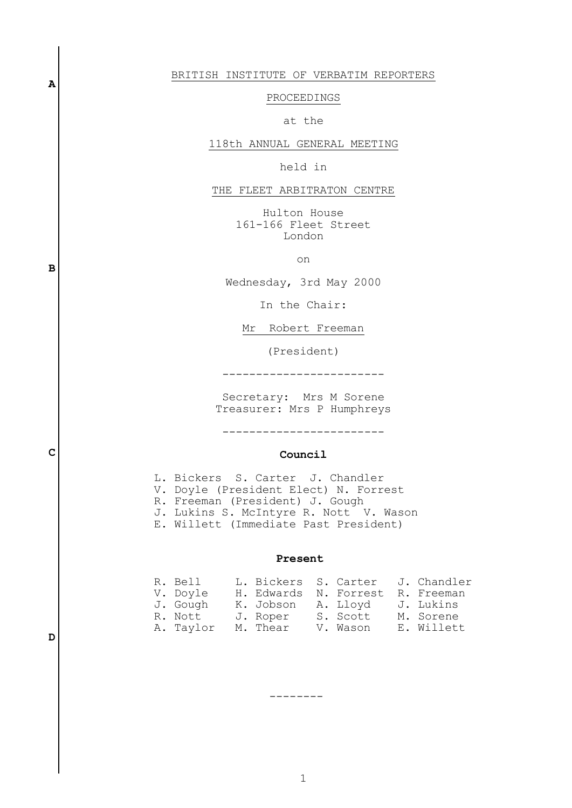#### BRITISH INSTITUTE OF VERBATIM REPORTERS

## PROCEEDINGS

## at the

### 118th ANNUAL GENERAL MEETING

held in

#### THE FLEET ARBITRATON CENTRE

Hulton House 161-166 Fleet Street London

on

Wednesday, 3rd May 2000

In the Chair:

Mr Robert Freeman

(President)

------------------------

Secretary: Mrs M Sorene Treasurer: Mrs P Humphreys

------------------------

#### **Council**

 L. Bickers S. Carter J. Chandler V. Doyle (President Elect) N. Forrest R. Freeman (President) J. Gough J. Lukins S. McIntyre R. Nott V. Wason E. Willett (Immediate Past President)

#### **Present**

| R. Bell   | L. Bickers S. Carter J. Chandler |          |            |
|-----------|----------------------------------|----------|------------|
| V. Doyle  | H. Edwards N. Forrest R. Freeman |          |            |
| J. Gough  | K. Jobson – A. Lloyd             |          | J. Lukins  |
| R. Nott   | J. Roper                         | S. Scott | M. Sorene  |
| A. Taylor | M. Thear                         | V. Wason | E. Willett |

**D**

**A**

**B**

**C**

--------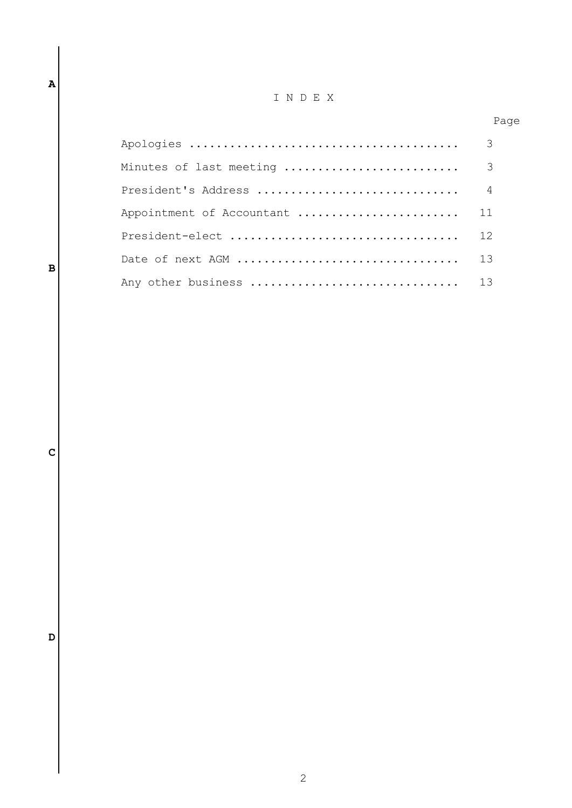# I N D E X

Page

|                           | 3              |
|---------------------------|----------------|
| Minutes of last meeting   | -3             |
| President's Address       | $\overline{4}$ |
| Appointment of Accountant | 11             |
| President-elect           | 12             |
|                           | 13             |
| Any other business  13    |                |

**D**

**C**

**A**

**B**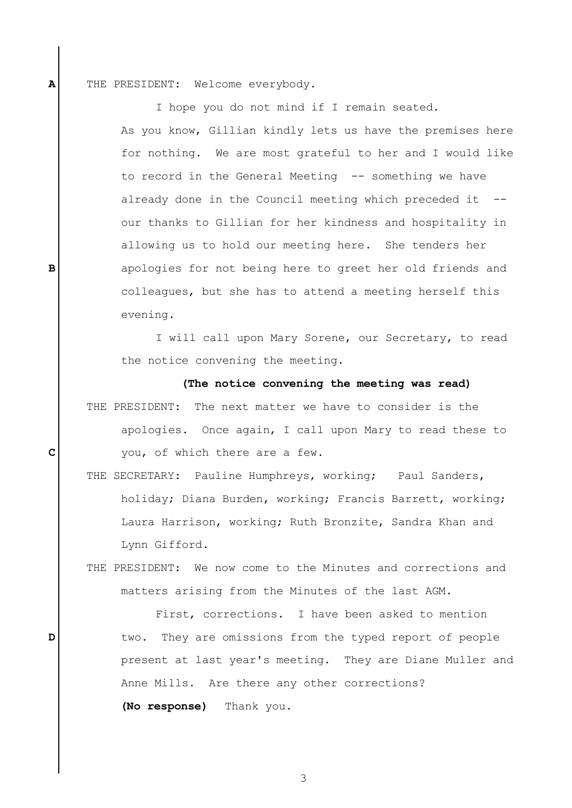THE PRESIDENT: Welcome everybody.

**A**

**B**

**C**

**D**

I hope you do not mind if I remain seated.

As you know, Gillian kindly lets us have the premises here for nothing. We are most grateful to her and I would like to record in the General Meeting -- something we have already done in the Council meeting which preceded it -our thanks to Gillian for her kindness and hospitality in allowing us to hold our meeting here. She tenders her apologies for not being here to greet her old friends and colleagues, but she has to attend a meeting herself this evening.

I will call upon Mary Sorene, our Secretary, to read the notice convening the meeting.

 **(The notice convening the meeting was read)** THE PRESIDENT: The next matter we have to consider is the apologies. Once again, I call upon Mary to read these to you, of which there are a few.

THE SECRETARY: Pauline Humphreys, working; Paul Sanders, holiday; Diana Burden, working; Francis Barrett, working; Laura Harrison, working; Ruth Bronzite, Sandra Khan and Lynn Gifford.

THE PRESIDENT: We now come to the Minutes and corrections and matters arising from the Minutes of the last AGM.

First, corrections. I have been asked to mention two. They are omissions from the typed report of people present at last year's meeting. They are Diane Muller and Anne Mills. Are there any other corrections? **(No response)** Thank you.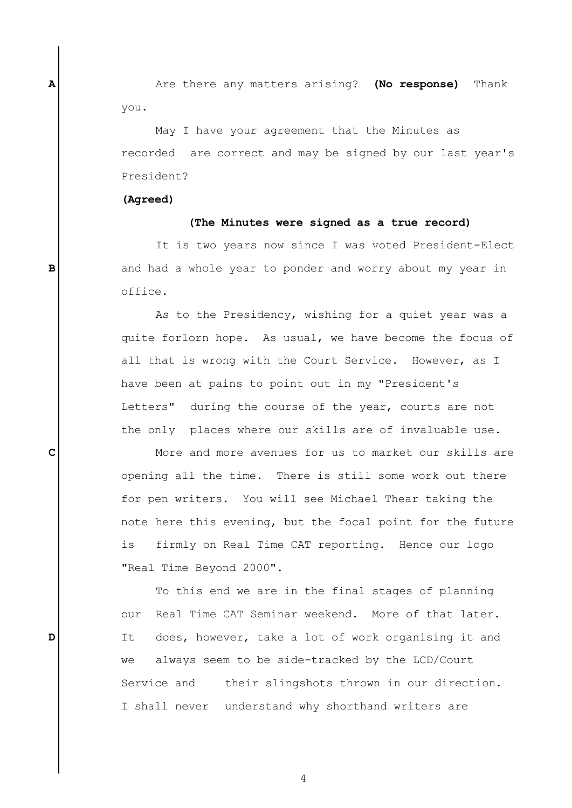Are there any matters arising? **(No response)** Thank you.

May I have your agreement that the Minutes as recorded are correct and may be signed by our last year's President?

#### **(Agreed)**

**A**

**B**

**C**

**D**

## **(The Minutes were signed as a true record)**

It is two years now since I was voted President-Elect and had a whole year to ponder and worry about my year in office.

As to the Presidency, wishing for a quiet year was a quite forlorn hope. As usual, we have become the focus of all that is wrong with the Court Service. However, as I have been at pains to point out in my "President's Letters" during the course of the year, courts are not the only places where our skills are of invaluable use.

More and more avenues for us to market our skills are opening all the time. There is still some work out there for pen writers. You will see Michael Thear taking the note here this evening, but the focal point for the future is firmly on Real Time CAT reporting. Hence our logo "Real Time Beyond 2000".

To this end we are in the final stages of planning our Real Time CAT Seminar weekend. More of that later. It does, however, take a lot of work organising it and we always seem to be side-tracked by the LCD/Court Service and their slingshots thrown in our direction. I shall never understand why shorthand writers are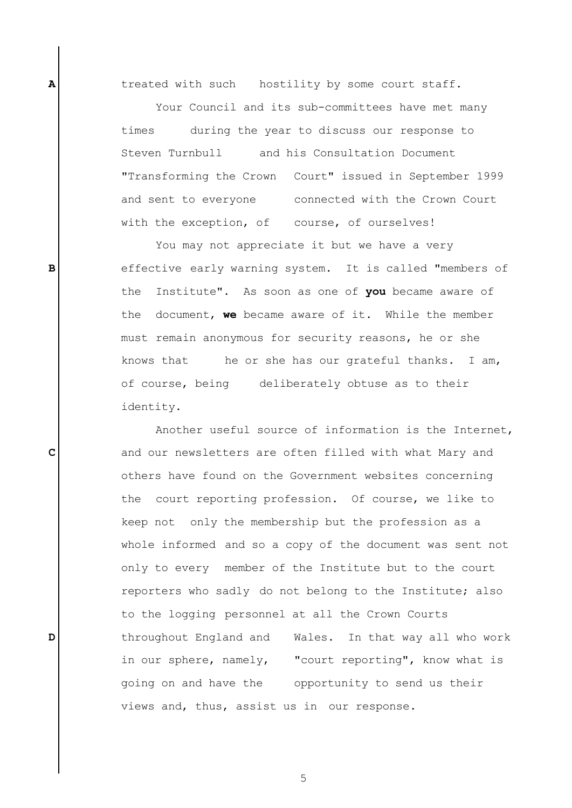treated with such hostility by some court staff.

**A**

**B**

**C**

**D**

Your Council and its sub-committees have met many times during the year to discuss our response to Steven Turnbull and his Consultation Document "Transforming the Crown Court" issued in September 1999 and sent to everyone connected with the Crown Court with the exception, of course, of ourselves!

You may not appreciate it but we have a very effective early warning system. It is called "members of the Institute". As soon as one of **you** became aware of the document, **we** became aware of it. While the member must remain anonymous for security reasons, he or she knows that he or she has our grateful thanks. I am, of course, being deliberately obtuse as to their identity.

Another useful source of information is the Internet, and our newsletters are often filled with what Mary and others have found on the Government websites concerning the court reporting profession. Of course, we like to keep not only the membership but the profession as a whole informed and so a copy of the document was sent not only to every member of the Institute but to the court reporters who sadly do not belong to the Institute; also to the logging personnel at all the Crown Courts throughout England and Wales. In that way all who work in our sphere, namely, "court reporting", know what is going on and have the opportunity to send us their views and, thus, assist us in our response.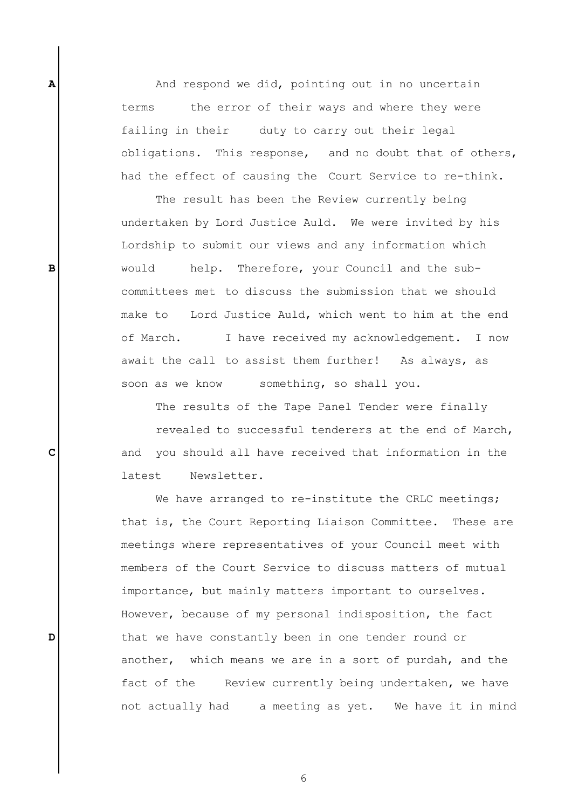And respond we did, pointing out in no uncertain terms the error of their ways and where they were failing in their duty to carry out their legal obligations. This response, and no doubt that of others, had the effect of causing the Court Service to re-think.

**A**

**B**

**C**

**D**

The result has been the Review currently being undertaken by Lord Justice Auld. We were invited by his Lordship to submit our views and any information which would help. Therefore, your Council and the subcommittees met to discuss the submission that we should make to Lord Justice Auld, which went to him at the end of March. I have received my acknowledgement. I now await the call to assist them further! As always, as soon as we know something, so shall you.

The results of the Tape Panel Tender were finally

revealed to successful tenderers at the end of March, and you should all have received that information in the latest Newsletter.

We have arranged to re-institute the CRLC meetings; that is, the Court Reporting Liaison Committee. These are meetings where representatives of your Council meet with members of the Court Service to discuss matters of mutual importance, but mainly matters important to ourselves. However, because of my personal indisposition, the fact that we have constantly been in one tender round or another, which means we are in a sort of purdah, and the fact of the Review currently being undertaken, we have not actually had a meeting as yet. We have it in mind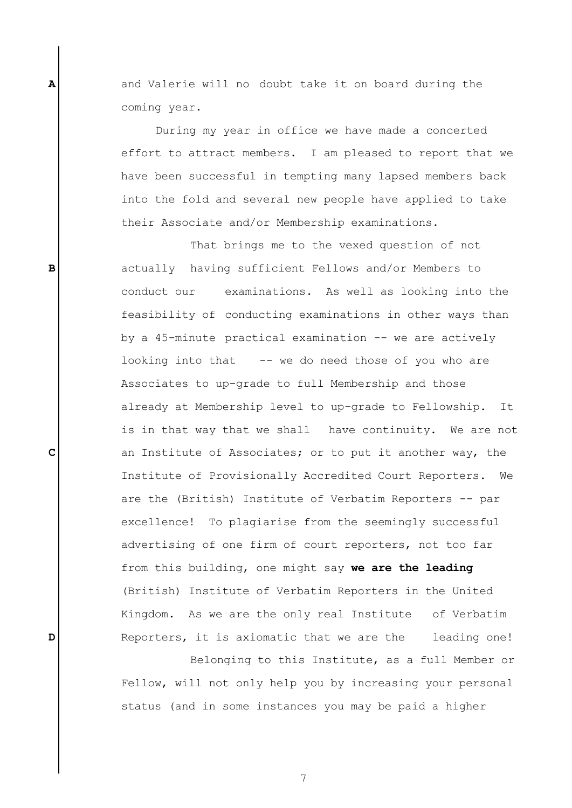and Valerie will no doubt take it on board during the coming year.

**A**

**B**

**C**

**D**

During my year in office we have made a concerted effort to attract members. I am pleased to report that we have been successful in tempting many lapsed members back into the fold and several new people have applied to take their Associate and/or Membership examinations.

That brings me to the vexed question of not actually having sufficient Fellows and/or Members to conduct our examinations. As well as looking into the feasibility of conducting examinations in other ways than by a 45-minute practical examination -- we are actively looking into that -- we do need those of you who are Associates to up-grade to full Membership and those already at Membership level to up-grade to Fellowship. It is in that way that we shall have continuity. We are not an Institute of Associates; or to put it another way, the Institute of Provisionally Accredited Court Reporters. We are the (British) Institute of Verbatim Reporters -- par excellence! To plagiarise from the seemingly successful advertising of one firm of court reporters, not too far from this building, one might say **we are the leading** (British) Institute of Verbatim Reporters in the United Kingdom. As we are the only real Institute of Verbatim Reporters, it is axiomatic that we are the leading one!

Belonging to this Institute, as a full Member or Fellow, will not only help you by increasing your personal status (and in some instances you may be paid a higher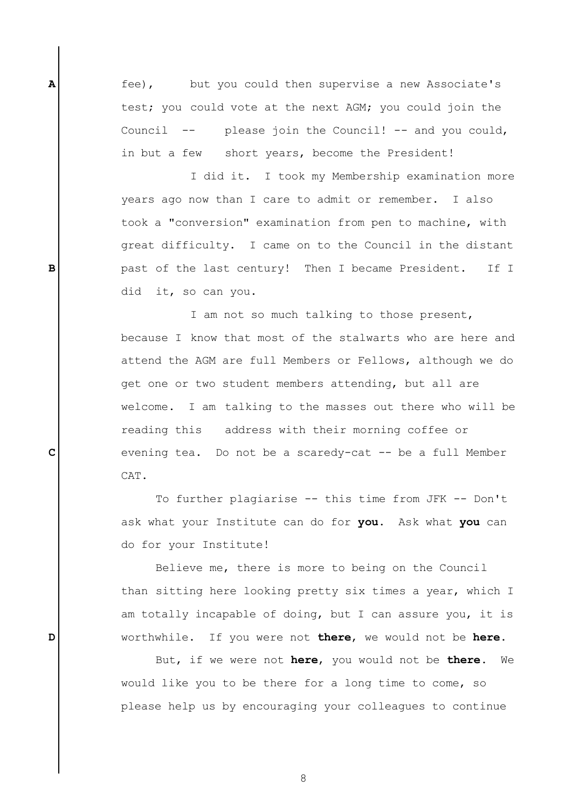fee), but you could then supervise a new Associate's test; you could vote at the next AGM; you could join the Council -- please join the Council! -- and you could, in but a few short years, become the President!

**A**

**B**

**C**

**D**

I did it. I took my Membership examination more years ago now than I care to admit or remember. I also took a "conversion" examination from pen to machine, with great difficulty. I came on to the Council in the distant past of the last century! Then I became President. If I did it, so can you.

I am not so much talking to those present, because I know that most of the stalwarts who are here and attend the AGM are full Members or Fellows, although we do get one or two student members attending, but all are welcome. I am talking to the masses out there who will be reading this address with their morning coffee or evening tea. Do not be a scaredy-cat -- be a full Member CAT.

To further plagiarise -- this time from JFK -- Don't ask what your Institute can do for **you**. Ask what **you** can do for your Institute!

Believe me, there is more to being on the Council than sitting here looking pretty six times a year, which I am totally incapable of doing, but I can assure you, it is worthwhile. If you were not **there**, we would not be **here**.

But, if we were not **here**, you would not be **there**. We would like you to be there for a long time to come, so please help us by encouraging your colleagues to continue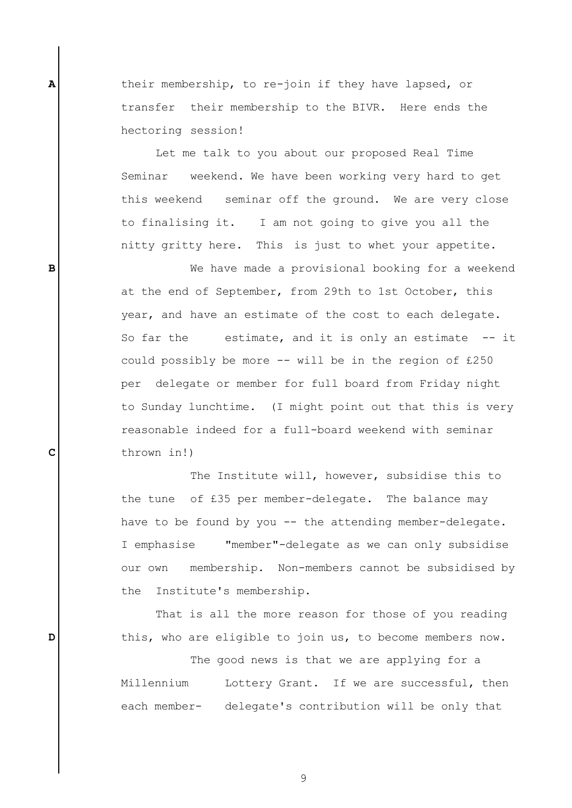their membership, to re-join if they have lapsed, or transfer their membership to the BIVR. Here ends the hectoring session!

**A**

**B**

**C**

**D**

Let me talk to you about our proposed Real Time Seminar weekend. We have been working very hard to get this weekend seminar off the ground. We are very close to finalising it. I am not going to give you all the nitty gritty here. This is just to whet your appetite.

We have made a provisional booking for a weekend at the end of September, from 29th to 1st October, this year, and have an estimate of the cost to each delegate. So far the estimate, and it is only an estimate -- it could possibly be more -- will be in the region of £250 per delegate or member for full board from Friday night to Sunday lunchtime. (I might point out that this is very reasonable indeed for a full-board weekend with seminar thrown in!)

The Institute will, however, subsidise this to the tune of £35 per member-delegate. The balance may have to be found by you -- the attending member-delegate. I emphasise "member"-delegate as we can only subsidise our own membership. Non-members cannot be subsidised by the Institute's membership.

That is all the more reason for those of you reading this, who are eligible to join us, to become members now.

The good news is that we are applying for a Millennium Lottery Grant. If we are successful, then each member- delegate's contribution will be only that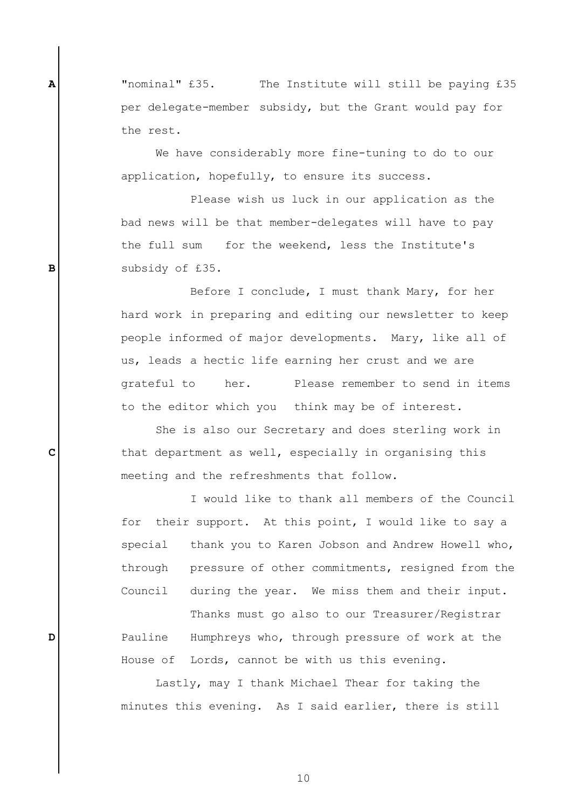"nominal" £35. The Institute will still be paying £35 per delegate-member subsidy, but the Grant would pay for the rest.

**A**

**B**

**C**

**D**

We have considerably more fine-tuning to do to our application, hopefully, to ensure its success.

Please wish us luck in our application as the bad news will be that member-delegates will have to pay the full sum for the weekend, less the Institute's subsidy of £35.

Before I conclude, I must thank Mary, for her hard work in preparing and editing our newsletter to keep people informed of major developments. Mary, like all of us, leads a hectic life earning her crust and we are grateful to her. Please remember to send in items to the editor which you think may be of interest.

She is also our Secretary and does sterling work in that department as well, especially in organising this meeting and the refreshments that follow.

I would like to thank all members of the Council for their support. At this point, I would like to say a special thank you to Karen Jobson and Andrew Howell who, through pressure of other commitments, resigned from the Council during the year. We miss them and their input.

Thanks must go also to our Treasurer/Registrar Pauline Humphreys who, through pressure of work at the House of Lords, cannot be with us this evening.

Lastly, may I thank Michael Thear for taking the minutes this evening. As I said earlier, there is still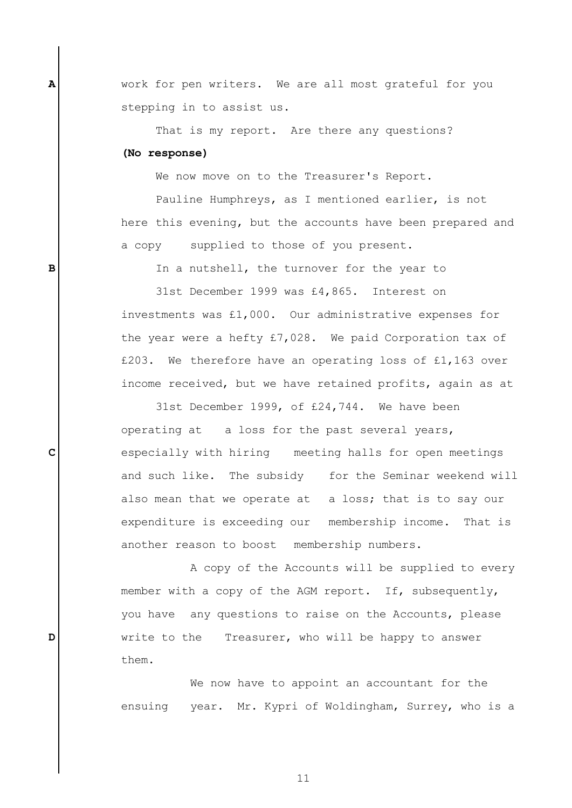work for pen writers. We are all most grateful for you stepping in to assist us.

That is my report. Are there any questions? **(No response)**

**A**

**B**

**C**

**D**

We now move on to the Treasurer's Report.

Pauline Humphreys, as I mentioned earlier, is not here this evening, but the accounts have been prepared and a copy supplied to those of you present.

In a nutshell, the turnover for the year to

31st December 1999 was £4,865. Interest on investments was £1,000. Our administrative expenses for the year were a hefty £7,028. We paid Corporation tax of £203. We therefore have an operating loss of £1,163 over income received, but we have retained profits, again as at

31st December 1999, of £24,744. We have been operating at a loss for the past several years, especially with hiring meeting halls for open meetings and such like. The subsidy for the Seminar weekend will also mean that we operate at a loss; that is to say our expenditure is exceeding our membership income. That is another reason to boost membership numbers.

A copy of the Accounts will be supplied to every member with a copy of the AGM report. If, subsequently, you have any questions to raise on the Accounts, please write to the Treasurer, who will be happy to answer them.

We now have to appoint an accountant for the ensuing year. Mr. Kypri of Woldingham, Surrey, who is a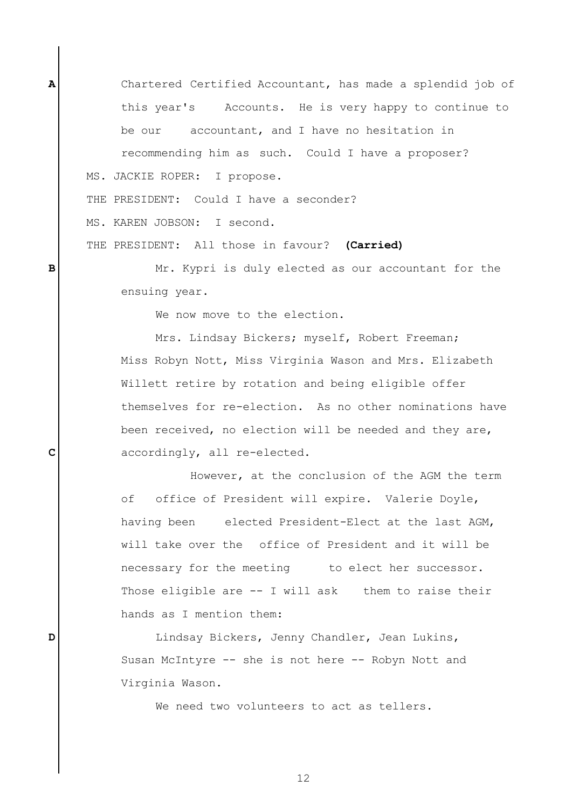Chartered Certified Accountant, has made a splendid job of this year's Accounts. He is very happy to continue to be our accountant, and I have no hesitation in recommending him as such. Could I have a proposer? MS. JACKIE ROPER: I propose.

THE PRESIDENT: Could I have a seconder?

MS. KAREN JOBSON: I second.

**A**

**B**

**C**

**D**

THE PRESIDENT: All those in favour? **(Carried)**

Mr. Kypri is duly elected as our accountant for the ensuing year.

We now move to the election.

Mrs. Lindsay Bickers; myself, Robert Freeman; Miss Robyn Nott, Miss Virginia Wason and Mrs. Elizabeth Willett retire by rotation and being eligible offer themselves for re-election. As no other nominations have been received, no election will be needed and they are, accordingly, all re-elected.

However, at the conclusion of the AGM the term of office of President will expire. Valerie Doyle, having been elected President-Elect at the last AGM, will take over the office of President and it will be necessary for the meeting to elect her successor. Those eligible are -- I will ask them to raise their hands as I mention them:

Lindsay Bickers, Jenny Chandler, Jean Lukins, Susan McIntyre -- she is not here -- Robyn Nott and Virginia Wason.

We need two volunteers to act as tellers.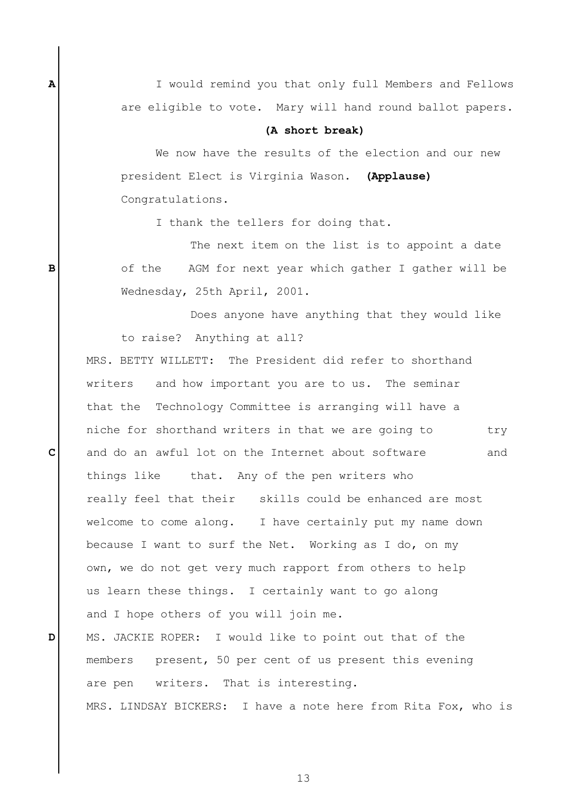I would remind you that only full Members and Fellows are eligible to vote. Mary will hand round ballot papers.

## **(A short break)**

We now have the results of the election and our new president Elect is Virginia Wason. **(Applause)** Congratulations.

I thank the tellers for doing that.

The next item on the list is to appoint a date of the AGM for next year which gather I gather will be Wednesday, 25th April, 2001.

Does anyone have anything that they would like to raise? Anything at all?

MRS. BETTY WILLETT: The President did refer to shorthand writers and how important you are to us. The seminar that the Technology Committee is arranging will have a niche for shorthand writers in that we are going to try and do an awful lot on the Internet about software and things like that. Any of the pen writers who really feel that their skills could be enhanced are most welcome to come along. I have certainly put my name down because I want to surf the Net. Working as I do, on my own, we do not get very much rapport from others to help us learn these things. I certainly want to go along and I hope others of you will join me.

MS. JACKIE ROPER: I would like to point out that of the members present, 50 per cent of us present this evening are pen writers. That is interesting. MRS. LINDSAY BICKERS: I have a note here from Rita Fox, who is

**D**

**A**

**B**

**C**